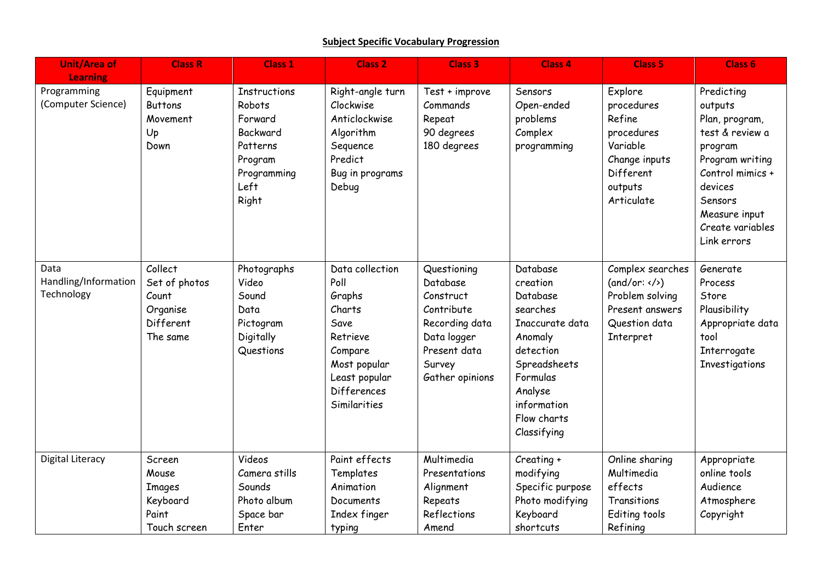## **Subject Specific Vocabulary Progression**

| <b>Unit/Area of</b>                                  | <b>Class R</b>                                                         | <b>Class 1</b>                                                                                              | <b>Class 2</b>                                                                                                                             | <b>Class 3</b>                                                                                                                   | <b>Class 4</b>                                                                                                                                                              | <b>Class 5</b>                                                                                                   | Class 6                                                                                                                                                                                |
|------------------------------------------------------|------------------------------------------------------------------------|-------------------------------------------------------------------------------------------------------------|--------------------------------------------------------------------------------------------------------------------------------------------|----------------------------------------------------------------------------------------------------------------------------------|-----------------------------------------------------------------------------------------------------------------------------------------------------------------------------|------------------------------------------------------------------------------------------------------------------|----------------------------------------------------------------------------------------------------------------------------------------------------------------------------------------|
| <b>Learning</b><br>Programming<br>(Computer Science) | Equipment<br><b>Buttons</b><br>Movement<br>Up<br>Down                  | <b>Instructions</b><br>Robots<br>Forward<br>Backward<br>Patterns<br>Program<br>Programming<br>Left<br>Right | Right-angle turn<br>Clockwise<br>Anticlockwise<br>Algorithm<br>Sequence<br>Predict<br>Bug in programs<br>Debug                             | Test + improve<br>Commands<br>Repeat<br>90 degrees<br>180 degrees                                                                | Sensors<br>Open-ended<br>problems<br>Complex<br>programming                                                                                                                 | Explore<br>procedures<br>Refine<br>procedures<br>Variable<br>Change inputs<br>Different<br>outputs<br>Articulate | Predicting<br>outputs<br>Plan, program,<br>test & review a<br>program<br>Program writing<br>Control mimics +<br>devices<br>Sensors<br>Measure input<br>Create variables<br>Link errors |
| Data<br>Handling/Information<br>Technology           | Collect<br>Set of photos<br>Count<br>Organise<br>Different<br>The same | Photographs<br>Video<br>Sound<br>Data<br>Pictogram<br>Digitally<br>Questions                                | Data collection<br>Poll<br>Graphs<br>Charts<br>Save<br>Retrieve<br>Compare<br>Most popular<br>Least popular<br>Differences<br>Similarities | Questioning<br>Database<br>Construct<br>Contribute<br>Recording data<br>Data logger<br>Present data<br>Survey<br>Gather opinions | Database<br>creation<br>Database<br>searches<br>Inaccurate data<br>Anomaly<br>detection<br>Spreadsheets<br>Formulas<br>Analyse<br>information<br>Flow charts<br>Classifying | Complex searches<br>(and/or: < />)<br>Problem solving<br>Present answers<br>Question data<br>Interpret           | Generate<br>Process<br>Store<br>Plausibility<br>Appropriate data<br>tool<br>Interrogate<br>Investigations                                                                              |
| <b>Digital Literacy</b>                              | Screen<br>Mouse<br><b>Images</b><br>Keyboard<br>Paint<br>Touch screen  | Videos<br>Camera stills<br>Sounds<br>Photo album<br>Space bar<br>Enter                                      | Paint effects<br>Templates<br>Animation<br>Documents<br>Index finger<br>typing                                                             | Multimedia<br>Presentations<br>Alignment<br>Repeats<br>Reflections<br>Amend                                                      | Creating +<br>modifying<br>Specific purpose<br>Photo modifying<br>Keyboard<br>shortcuts                                                                                     | Online sharing<br>Multimedia<br>effects<br>Transitions<br>Editing tools<br>Refining                              | Appropriate<br>online tools<br>Audience<br>Atmosphere<br>Copyright                                                                                                                     |